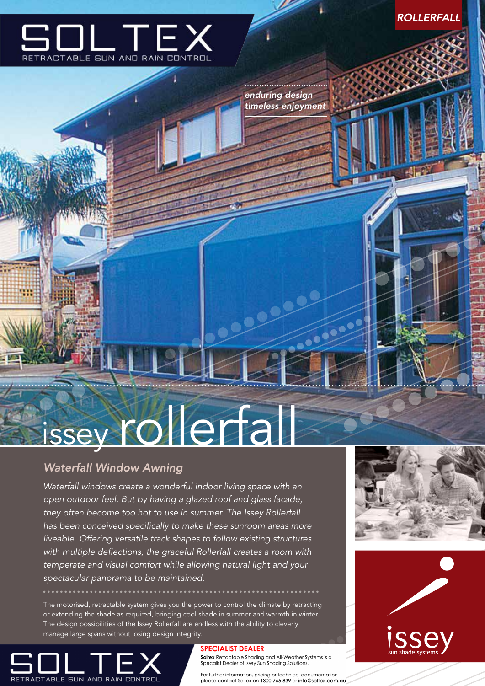

**ROLLERFALL** 

### *enduring design timeless enjoyment*

# issey rollerfall

## **Waterfall Window Awning**

*Waterfall windows create a wonderful indoor living space with an open outdoor feel. But by having a glazed roof and glass facade, they often become too hot to use in summer. The Issey Rollerfall has been conceived specifically to make these sunroom areas more liveable. Offering versatile track shapes to follow existing structures with multiple deflections, the graceful Rollerfall creates a room with temperate and visual comfort while allowing natural light and your spectacular panorama to be maintained.*

The motorised, retractable system gives you the power to control the climate by retracting or extending the shade as required, bringing cool shade in summer and warmth in winter. The design possibilities of the Issey Rollerfall are endless with the ability to cleverly manage large spans without losing design integrity.



#### **SPECIALIST DEALER**

Soltex Retractable Shading and All-Weather Systems is a Specalist Dealer of Issey Sun Shading Solutions.

For further information, pricing or technical documentation please contact Soltex on 1300 765 839 or info@soltex.com.au